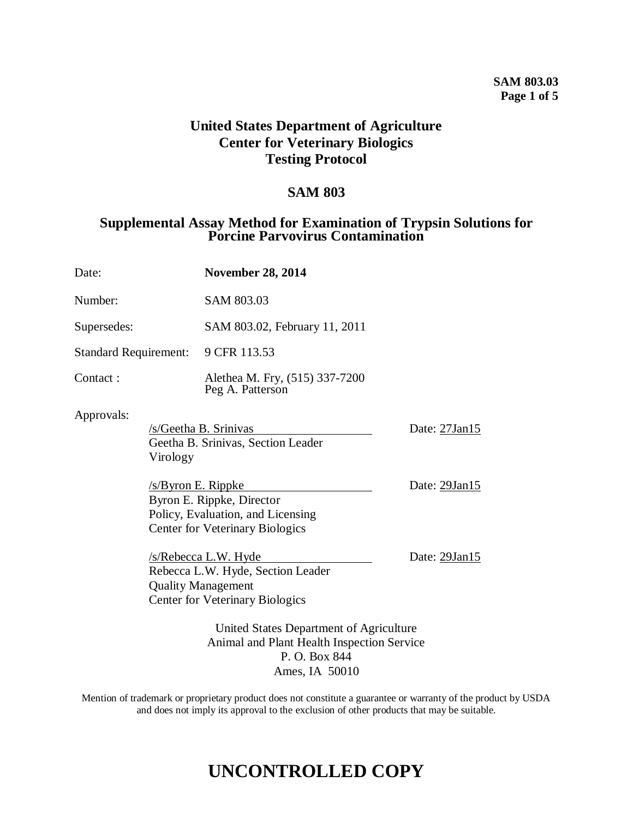# **SAM 803.03 Page 1 of 5**

# **United States Department of Agriculture Center for Veterinary Biologics Testing Protocol**

# **SAM 803**

# **Supplemental Assay Method for Examination of Trypsin Solutions for Porcine Parvovirus Contamination**

| Date:                                           |                                                                                                        | <b>November 28, 2014</b>                                                                                                         |               |
|-------------------------------------------------|--------------------------------------------------------------------------------------------------------|----------------------------------------------------------------------------------------------------------------------------------|---------------|
| Number:                                         |                                                                                                        | SAM 803.03                                                                                                                       |               |
| Supersedes:                                     |                                                                                                        | SAM 803.02, February 11, 2011                                                                                                    |               |
| <b>Standard Requirement:</b>                    |                                                                                                        | 9 CFR 113.53                                                                                                                     |               |
| Contact:                                        |                                                                                                        | Alethea M. Fry, (515) 337-7200<br>Peg A. Patterson                                                                               |               |
| Approvals:<br>Virology<br>$/s$ /Byron E. Rippke |                                                                                                        | /s/Geetha B. Srinivas<br>Geetha B. Srinivas, Section Leader                                                                      | Date: 27Jan15 |
|                                                 |                                                                                                        | Byron E. Rippke, Director<br>Policy, Evaluation, and Licensing<br><b>Center for Veterinary Biologics</b>                         | Date: 29Jan15 |
|                                                 |                                                                                                        | /s/Rebecca L.W. Hyde<br>Rebecca L.W. Hyde, Section Leader<br><b>Quality Management</b><br><b>Center for Veterinary Biologics</b> | Date: 29Jan15 |
|                                                 | United States Department of Agriculture<br>Animal and Plant Health Inspection Service<br>P. O. Box 844 |                                                                                                                                  |               |

Ames, IA 50010

Mention of trademark or proprietary product does not constitute a guarantee or warranty of the product by USDA and does not imply its approval to the exclusion of other products that may be suitable.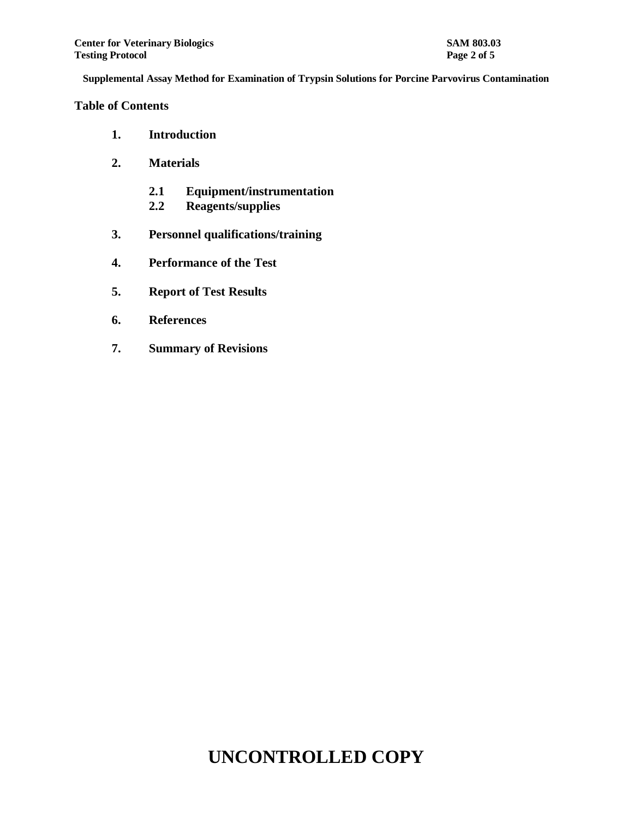#### **Table of Contents**

- **1. Introduction**
- **2. Materials**
	- **2.1 Equipment/instrumentation**
	- **2.2 Reagents/supplies**
- **3. Personnel qualifications/training**
- **4. Performance of the Test**
- **5. Report of Test Results**
- **6. References**
- **7. Summary of Revisions**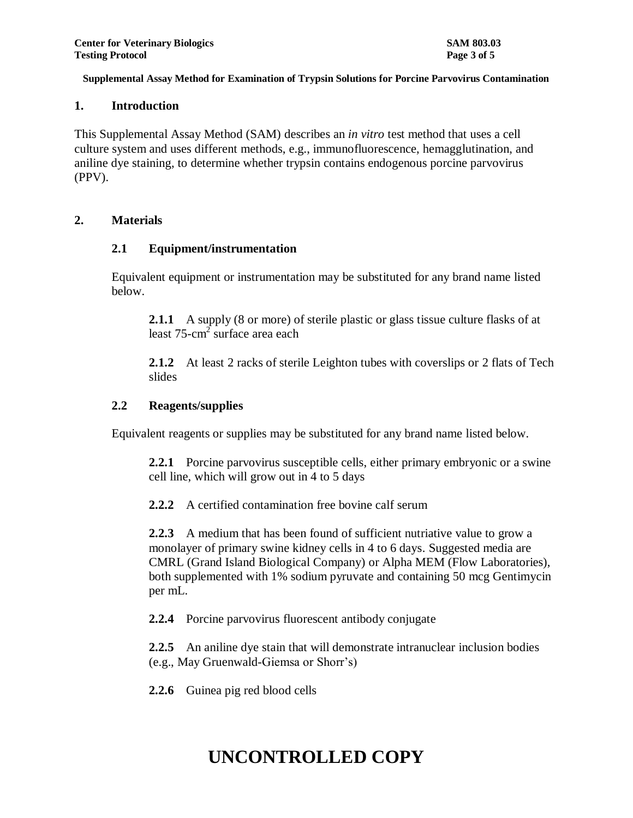#### **1. Introduction**

This Supplemental Assay Method (SAM) describes an *in vitro* test method that uses a cell culture system and uses different methods, e.g., immunofluorescence, hemagglutination, and aniline dye staining, to determine whether trypsin contains endogenous porcine parvovirus (PPV).

# **2. Materials**

# **2.1 Equipment/instrumentation**

Equivalent equipment or instrumentation may be substituted for any brand name listed below.

**2.1.1** A supply (8 or more) of sterile plastic or glass tissue culture flasks of at least  $75$ -cm<sup>2</sup> surface area each

**2.1.2** At least 2 racks of sterile Leighton tubes with coverslips or 2 flats of Tech slides

# **2.2 Reagents/supplies**

Equivalent reagents or supplies may be substituted for any brand name listed below.

**2.2.1** Porcine parvovirus susceptible cells, either primary embryonic or a swine cell line, which will grow out in 4 to 5 days

**2.2.2** A certified contamination free bovine calf serum

**2.2.3** A medium that has been found of sufficient nutriative value to grow a monolayer of primary swine kidney cells in 4 to 6 days. Suggested media are CMRL (Grand Island Biological Company) or Alpha MEM (Flow Laboratories), both supplemented with 1% sodium pyruvate and containing 50 mcg Gentimycin per mL.

**2.2.4** Porcine parvovirus fluorescent antibody conjugate

**2.2.5** An aniline dye stain that will demonstrate intranuclear inclusion bodies (e.g., May Gruenwald-Giemsa or Shorr's)

**2.2.6** Guinea pig red blood cells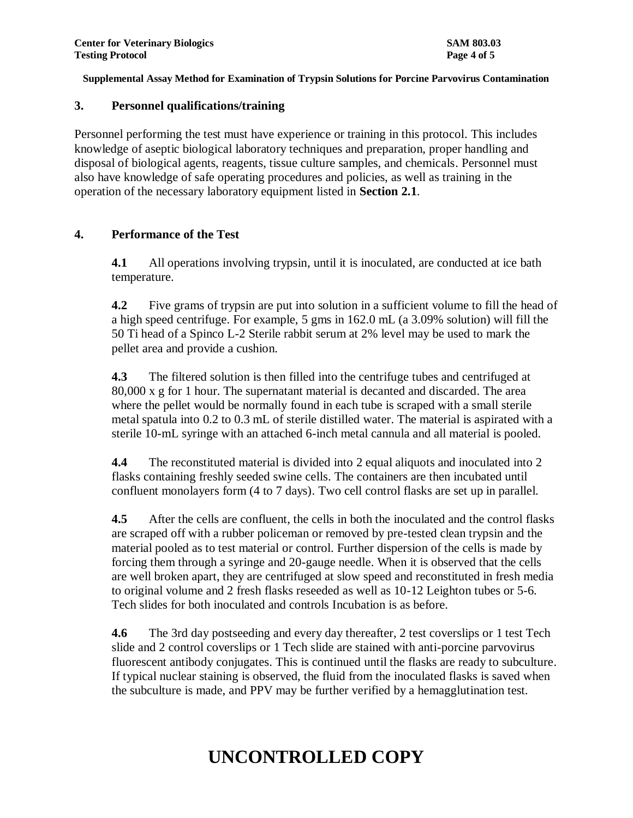# **3. Personnel qualifications/training**

Personnel performing the test must have experience or training in this protocol. This includes knowledge of aseptic biological laboratory techniques and preparation, proper handling and disposal of biological agents, reagents, tissue culture samples, and chemicals. Personnel must also have knowledge of safe operating procedures and policies, as well as training in the operation of the necessary laboratory equipment listed in **Section 2.1**.

# **4. Performance of the Test**

**4.1** All operations involving trypsin, until it is inoculated, are conducted at ice bath temperature.

**4.2** Five grams of trypsin are put into solution in a sufficient volume to fill the head of a high speed centrifuge. For example, 5 gms in 162.0 mL (a 3.09% solution) will fill the 50 Ti head of a Spinco L-2 Sterile rabbit serum at 2% level may be used to mark the pellet area and provide a cushion.

**4.3** The filtered solution is then filled into the centrifuge tubes and centrifuged at 80,000 x g for 1 hour. The supernatant material is decanted and discarded. The area where the pellet would be normally found in each tube is scraped with a small sterile metal spatula into 0.2 to 0.3 mL of sterile distilled water. The material is aspirated with a sterile 10-mL syringe with an attached 6-inch metal cannula and all material is pooled.

**4.4** The reconstituted material is divided into 2 equal aliquots and inoculated into 2 flasks containing freshly seeded swine cells. The containers are then incubated until confluent monolayers form (4 to 7 days). Two cell control flasks are set up in parallel.

**4.5** After the cells are confluent, the cells in both the inoculated and the control flasks are scraped off with a rubber policeman or removed by pre-tested clean trypsin and the material pooled as to test material or control. Further dispersion of the cells is made by forcing them through a syringe and 20-gauge needle. When it is observed that the cells are well broken apart, they are centrifuged at slow speed and reconstituted in fresh media to original volume and 2 fresh flasks reseeded as well as 10-12 Leighton tubes or 5-6. Tech slides for both inoculated and controls Incubation is as before.

**4.6** The 3rd day postseeding and every day thereafter, 2 test coverslips or 1 test Tech slide and 2 control coverslips or 1 Tech slide are stained with anti-porcine parvovirus fluorescent antibody conjugates. This is continued until the flasks are ready to subculture. If typical nuclear staining is observed, the fluid from the inoculated flasks is saved when the subculture is made, and PPV may be further verified by a hemagglutination test.